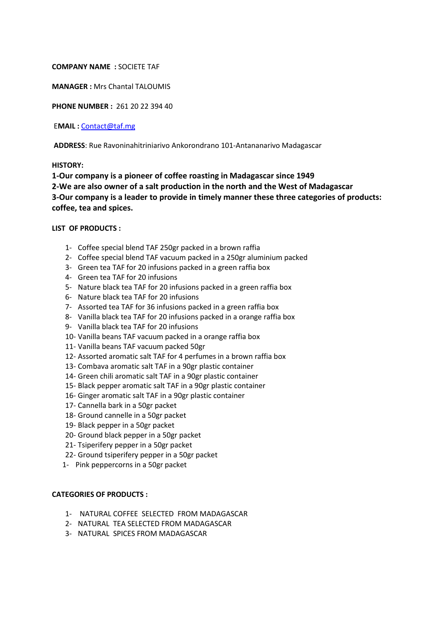**COMPANY NAME :** SOCIETE TAF

**MANAGER :** Mrs Chantal TALOUMIS

**PHONE NUMBER :** 261 20 22 394 40

E**MAIL :** [Contact@taf.mg](mailto:Contact@taf.mg)

**ADDRESS**: Rue Ravoninahitriniarivo Ankorondrano 101-Antananarivo Madagascar

#### **HISTORY:**

**1-Our company is a pioneer of coffee roasting in Madagascar since 1949 2-We are also owner of a salt production in the north and the West of Madagascar 3-Our company is a leader to provide in timely manner these three categories of products: coffee, tea and spices.** 

## **LIST OF PRODUCTS :**

- 1- Coffee special blend TAF 250gr packed in a brown raffia
- 2- Coffee special blend TAF vacuum packed in a 250gr aluminium packed
- 3- Green tea TAF for 20 infusions packed in a green raffia box
- 4- Green tea TAF for 20 infusions
- 5- Nature black tea TAF for 20 infusions packed in a green raffia box
- 6- Nature black tea TAF for 20 infusions
- 7- Assorted tea TAF for 36 infusions packed in a green raffia box
- 8- Vanilla black tea TAF for 20 infusions packed in a orange raffia box
- 9- Vanilla black tea TAF for 20 infusions
- 10- Vanilla beans TAF vacuum packed in a orange raffia box
- 11- Vanilla beans TAF vacuum packed 50gr
- 12- Assorted aromatic salt TAF for 4 perfumes in a brown raffia box
- 13- Combava aromatic salt TAF in a 90gr plastic container
- 14- Green chili aromatic salt TAF in a 90gr plastic container
- 15- Black pepper aromatic salt TAF in a 90gr plastic container
- 16- Ginger aromatic salt TAF in a 90gr plastic container
- 17- Cannella bark in a 50gr packet
- 18- Ground cannelle in a 50gr packet
- 19- Black pepper in a 50gr packet
- 20- Ground black pepper in a 50gr packet
- 21- Tsiperifery pepper in a 50gr packet
- 22- Ground tsiperifery pepper in a 50gr packet
- 1- Pink peppercorns in a 50gr packet

## **CATEGORIES OF PRODUCTS :**

- 1- NATURAL COFFEE SELECTED FROM MADAGASCAR
- 2- NATURAL TEA SELECTED FROM MADAGASCAR
- 3- NATURAL SPICES FROM MADAGASCAR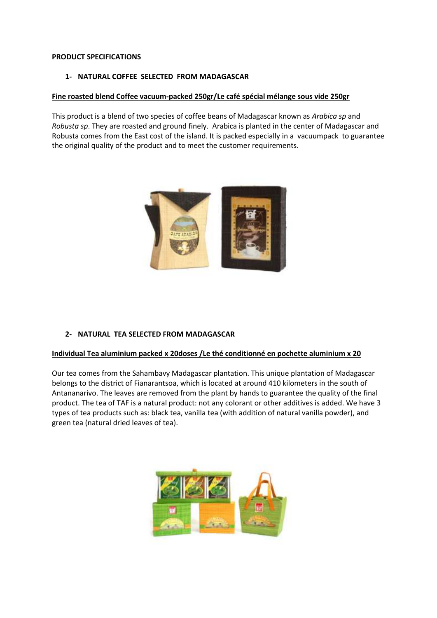## **PRODUCT SPECIFICATIONS**

## **1- NATURAL COFFEE SELECTED FROM MADAGASCAR**

## **Fine roasted blend Coffee vacuum-packed 250gr/Le café spécial mélange sous vide 250gr**

This product is a blend of two species of coffee beans of Madagascar known as *Arabica sp* and *Robusta sp*. They are roasted and ground finely. Arabica is planted in the center of Madagascar and Robusta comes from the East cost of the island. It is packed especially in a vacuumpack to guarantee the original quality of the product and to meet the customer requirements.



## **2- NATURAL TEA SELECTED FROM MADAGASCAR**

## **Individual Tea aluminium packed x 20doses /Le thé conditionné en pochette aluminium x 20**

Our tea comes from the Sahambavy Madagascar plantation. This unique plantation of Madagascar belongs to the district of Fianarantsoa, which is located at around 410 kilometers in the south of Antananarivo. The leaves are removed from the plant by hands to guarantee the quality of the final product. The tea of TAF is a natural product: not any colorant or other additives is added. We have 3 types of tea products such as: black tea, vanilla tea (with addition of natural vanilla powder), and green tea (natural dried leaves of tea).

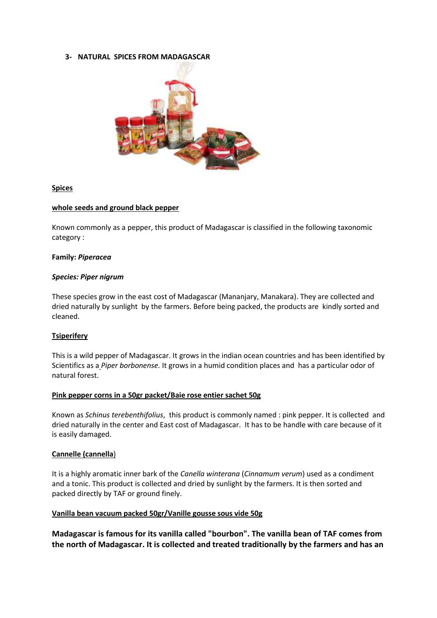## **3- NATURAL SPICES FROM MADAGASCAR**



## **Spices**

#### **whole seeds and ground black pepper**

Known commonly as a pepper, this product of Madagascar is classified in the following taxonomic category :

#### **Family:** *Piperacea*

#### *Species: Piper nigrum*

These species grow in the east cost of Madagascar (Mananjary, Manakara). They are collected and dried naturally by sunlight by the farmers. Before being packed, the products are kindly sorted and cleaned.

## **Tsiperifery**

This is a wild pepper of Madagascar. It grows in the indian ocean countries and has been identified by Scientifics as a *Piper borbonense.* It grows in a humid condition places and has a particular odor of natural forest.

#### **Pink pepper corns in a 50gr packet/Baie rose entier sachet 50g**

Known as *Schinus terebenthifolius*, this product is commonly named : pink pepper. It is collected and dried naturally in the center and East cost of Madagascar. It has to be handle with care because of it is easily damaged.

## **Cannelle (cannella**)

It is a highly aromatic inner bark of the *Canella winterana* (*Cinnamum verum*) used as a condiment and a tonic. This product is collected and dried by sunlight by the farmers. It is then sorted and packed directly by TAF or ground finely.

## **Vanilla bean vacuum packed 50gr/Vanille gousse sous vide 50g**

**Madagascar is famous for its vanilla called "bourbon". The vanilla bean of TAF comes from the north of Madagascar. It is collected and treated traditionally by the farmers and has an**